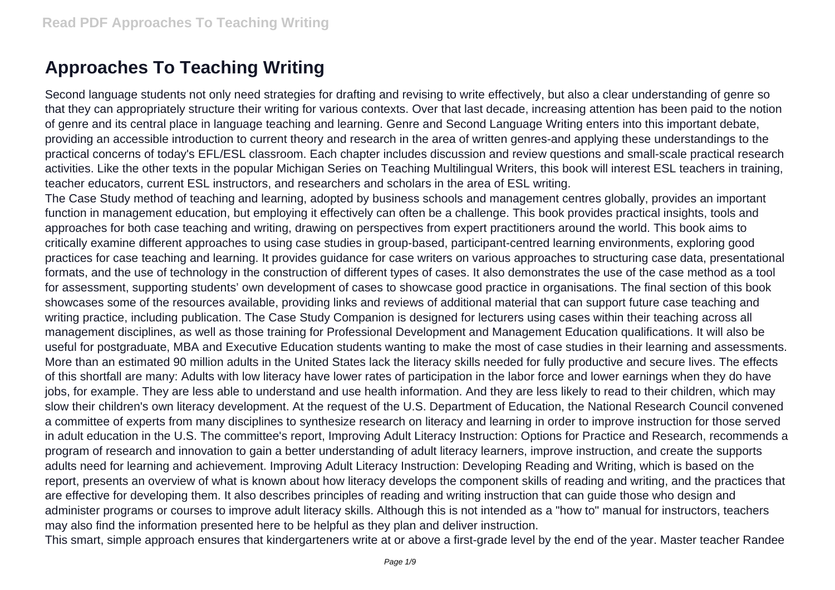## **Approaches To Teaching Writing**

Second language students not only need strategies for drafting and revising to write effectively, but also a clear understanding of genre so that they can appropriately structure their writing for various contexts. Over that last decade, increasing attention has been paid to the notion of genre and its central place in language teaching and learning. Genre and Second Language Writing enters into this important debate, providing an accessible introduction to current theory and research in the area of written genres-and applying these understandings to the practical concerns of today's EFL/ESL classroom. Each chapter includes discussion and review questions and small-scale practical research activities. Like the other texts in the popular Michigan Series on Teaching Multilingual Writers, this book will interest ESL teachers in training, teacher educators, current ESL instructors, and researchers and scholars in the area of ESL writing.

The Case Study method of teaching and learning, adopted by business schools and management centres globally, provides an important function in management education, but employing it effectively can often be a challenge. This book provides practical insights, tools and approaches for both case teaching and writing, drawing on perspectives from expert practitioners around the world. This book aims to critically examine different approaches to using case studies in group-based, participant-centred learning environments, exploring good practices for case teaching and learning. It provides guidance for case writers on various approaches to structuring case data, presentational formats, and the use of technology in the construction of different types of cases. It also demonstrates the use of the case method as a tool for assessment, supporting students' own development of cases to showcase good practice in organisations. The final section of this book showcases some of the resources available, providing links and reviews of additional material that can support future case teaching and writing practice, including publication. The Case Study Companion is designed for lecturers using cases within their teaching across all management disciplines, as well as those training for Professional Development and Management Education qualifications. It will also be useful for postgraduate, MBA and Executive Education students wanting to make the most of case studies in their learning and assessments. More than an estimated 90 million adults in the United States lack the literacy skills needed for fully productive and secure lives. The effects of this shortfall are many: Adults with low literacy have lower rates of participation in the labor force and lower earnings when they do have jobs, for example. They are less able to understand and use health information. And they are less likely to read to their children, which may slow their children's own literacy development. At the request of the U.S. Department of Education, the National Research Council convened a committee of experts from many disciplines to synthesize research on literacy and learning in order to improve instruction for those served in adult education in the U.S. The committee's report, Improving Adult Literacy Instruction: Options for Practice and Research, recommends a program of research and innovation to gain a better understanding of adult literacy learners, improve instruction, and create the supports adults need for learning and achievement. Improving Adult Literacy Instruction: Developing Reading and Writing, which is based on the report, presents an overview of what is known about how literacy develops the component skills of reading and writing, and the practices that are effective for developing them. It also describes principles of reading and writing instruction that can guide those who design and administer programs or courses to improve adult literacy skills. Although this is not intended as a "how to" manual for instructors, teachers may also find the information presented here to be helpful as they plan and deliver instruction.

This smart, simple approach ensures that kindergarteners write at or above a first-grade level by the end of the year. Master teacher Randee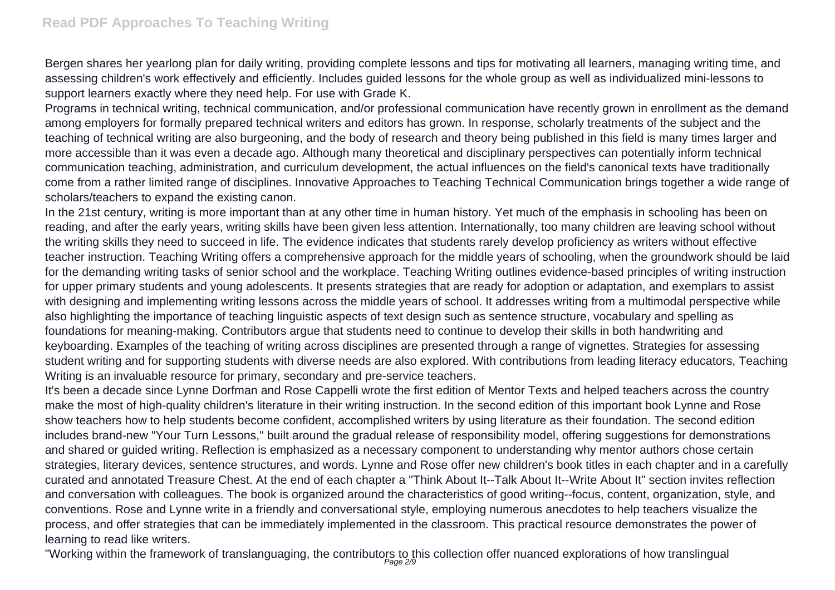Bergen shares her yearlong plan for daily writing, providing complete lessons and tips for motivating all learners, managing writing time, and assessing children's work effectively and efficiently. Includes guided lessons for the whole group as well as individualized mini-lessons to support learners exactly where they need help. For use with Grade K.

Programs in technical writing, technical communication, and/or professional communication have recently grown in enrollment as the demand among employers for formally prepared technical writers and editors has grown. In response, scholarly treatments of the subject and the teaching of technical writing are also burgeoning, and the body of research and theory being published in this field is many times larger and more accessible than it was even a decade ago. Although many theoretical and disciplinary perspectives can potentially inform technical communication teaching, administration, and curriculum development, the actual influences on the field's canonical texts have traditionally come from a rather limited range of disciplines. Innovative Approaches to Teaching Technical Communication brings together a wide range of scholars/teachers to expand the existing canon.

In the 21st century, writing is more important than at any other time in human history. Yet much of the emphasis in schooling has been on reading, and after the early years, writing skills have been given less attention. Internationally, too many children are leaving school without the writing skills they need to succeed in life. The evidence indicates that students rarely develop proficiency as writers without effective teacher instruction. Teaching Writing offers a comprehensive approach for the middle years of schooling, when the groundwork should be laid for the demanding writing tasks of senior school and the workplace. Teaching Writing outlines evidence-based principles of writing instruction for upper primary students and young adolescents. It presents strategies that are ready for adoption or adaptation, and exemplars to assist with designing and implementing writing lessons across the middle years of school. It addresses writing from a multimodal perspective while also highlighting the importance of teaching linguistic aspects of text design such as sentence structure, vocabulary and spelling as foundations for meaning-making. Contributors argue that students need to continue to develop their skills in both handwriting and keyboarding. Examples of the teaching of writing across disciplines are presented through a range of vignettes. Strategies for assessing student writing and for supporting students with diverse needs are also explored. With contributions from leading literacy educators, Teaching Writing is an invaluable resource for primary, secondary and pre-service teachers.

It's been a decade since Lynne Dorfman and Rose Cappelli wrote the first edition of Mentor Texts and helped teachers across the country make the most of high-quality children's literature in their writing instruction. In the second edition of this important book Lynne and Rose show teachers how to help students become confident, accomplished writers by using literature as their foundation. The second edition includes brand-new "Your Turn Lessons," built around the gradual release of responsibility model, offering suggestions for demonstrations and shared or guided writing. Reflection is emphasized as a necessary component to understanding why mentor authors chose certain strategies, literary devices, sentence structures, and words. Lynne and Rose offer new children's book titles in each chapter and in a carefully curated and annotated Treasure Chest. At the end of each chapter a "Think About It--Talk About It--Write About It" section invites reflection and conversation with colleagues. The book is organized around the characteristics of good writing--focus, content, organization, style, and conventions. Rose and Lynne write in a friendly and conversational style, employing numerous anecdotes to help teachers visualize the process, and offer strategies that can be immediately implemented in the classroom. This practical resource demonstrates the power of learning to read like writers.

"Working within the framework of translanguaging, the contributors to this collection offer nuanced explorations of how translingual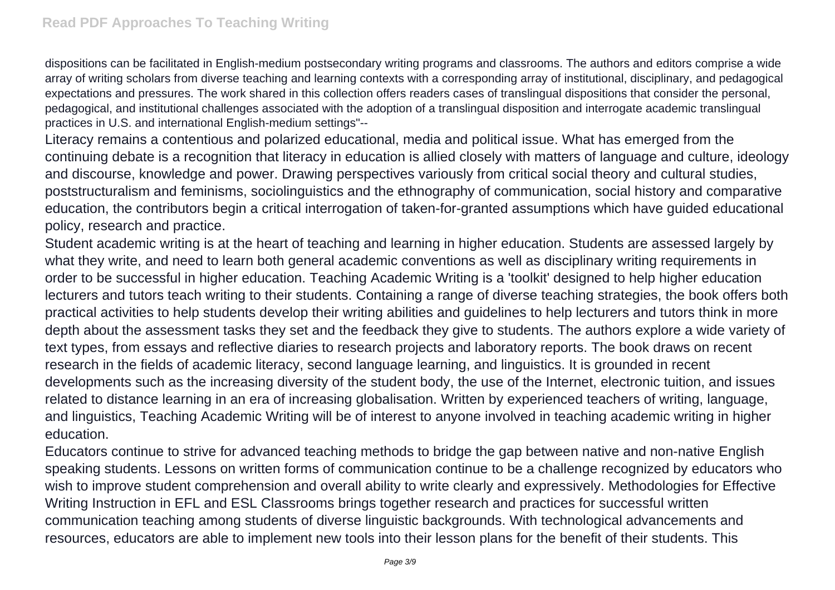dispositions can be facilitated in English-medium postsecondary writing programs and classrooms. The authors and editors comprise a wide array of writing scholars from diverse teaching and learning contexts with a corresponding array of institutional, disciplinary, and pedagogical expectations and pressures. The work shared in this collection offers readers cases of translingual dispositions that consider the personal, pedagogical, and institutional challenges associated with the adoption of a translingual disposition and interrogate academic translingual practices in U.S. and international English-medium settings"--

Literacy remains a contentious and polarized educational, media and political issue. What has emerged from the continuing debate is a recognition that literacy in education is allied closely with matters of language and culture, ideology and discourse, knowledge and power. Drawing perspectives variously from critical social theory and cultural studies, poststructuralism and feminisms, sociolinguistics and the ethnography of communication, social history and comparative education, the contributors begin a critical interrogation of taken-for-granted assumptions which have guided educational policy, research and practice.

Student academic writing is at the heart of teaching and learning in higher education. Students are assessed largely by what they write, and need to learn both general academic conventions as well as disciplinary writing requirements in order to be successful in higher education. Teaching Academic Writing is a 'toolkit' designed to help higher education lecturers and tutors teach writing to their students. Containing a range of diverse teaching strategies, the book offers both practical activities to help students develop their writing abilities and guidelines to help lecturers and tutors think in more depth about the assessment tasks they set and the feedback they give to students. The authors explore a wide variety of text types, from essays and reflective diaries to research projects and laboratory reports. The book draws on recent research in the fields of academic literacy, second language learning, and linguistics. It is grounded in recent developments such as the increasing diversity of the student body, the use of the Internet, electronic tuition, and issues related to distance learning in an era of increasing globalisation. Written by experienced teachers of writing, language, and linguistics, Teaching Academic Writing will be of interest to anyone involved in teaching academic writing in higher education.

Educators continue to strive for advanced teaching methods to bridge the gap between native and non-native English speaking students. Lessons on written forms of communication continue to be a challenge recognized by educators who wish to improve student comprehension and overall ability to write clearly and expressively. Methodologies for Effective Writing Instruction in EFL and ESL Classrooms brings together research and practices for successful written communication teaching among students of diverse linguistic backgrounds. With technological advancements and resources, educators are able to implement new tools into their lesson plans for the benefit of their students. This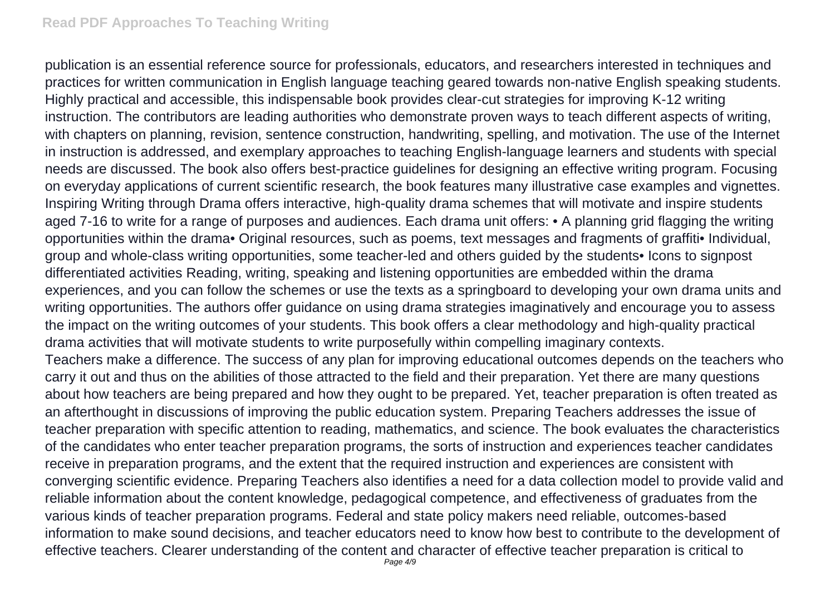publication is an essential reference source for professionals, educators, and researchers interested in techniques and practices for written communication in English language teaching geared towards non-native English speaking students. Highly practical and accessible, this indispensable book provides clear-cut strategies for improving K-12 writing instruction. The contributors are leading authorities who demonstrate proven ways to teach different aspects of writing, with chapters on planning, revision, sentence construction, handwriting, spelling, and motivation. The use of the Internet in instruction is addressed, and exemplary approaches to teaching English-language learners and students with special needs are discussed. The book also offers best-practice guidelines for designing an effective writing program. Focusing on everyday applications of current scientific research, the book features many illustrative case examples and vignettes. Inspiring Writing through Drama offers interactive, high-quality drama schemes that will motivate and inspire students aged 7-16 to write for a range of purposes and audiences. Each drama unit offers: • A planning grid flagging the writing opportunities within the drama• Original resources, such as poems, text messages and fragments of graffiti• Individual, group and whole-class writing opportunities, some teacher-led and others guided by the students• Icons to signpost differentiated activities Reading, writing, speaking and listening opportunities are embedded within the drama experiences, and you can follow the schemes or use the texts as a springboard to developing your own drama units and writing opportunities. The authors offer guidance on using drama strategies imaginatively and encourage you to assess the impact on the writing outcomes of your students. This book offers a clear methodology and high-quality practical drama activities that will motivate students to write purposefully within compelling imaginary contexts. Teachers make a difference. The success of any plan for improving educational outcomes depends on the teachers who carry it out and thus on the abilities of those attracted to the field and their preparation. Yet there are many questions about how teachers are being prepared and how they ought to be prepared. Yet, teacher preparation is often treated as an afterthought in discussions of improving the public education system. Preparing Teachers addresses the issue of teacher preparation with specific attention to reading, mathematics, and science. The book evaluates the characteristics of the candidates who enter teacher preparation programs, the sorts of instruction and experiences teacher candidates receive in preparation programs, and the extent that the required instruction and experiences are consistent with converging scientific evidence. Preparing Teachers also identifies a need for a data collection model to provide valid and reliable information about the content knowledge, pedagogical competence, and effectiveness of graduates from the various kinds of teacher preparation programs. Federal and state policy makers need reliable, outcomes-based information to make sound decisions, and teacher educators need to know how best to contribute to the development of effective teachers. Clearer understanding of the content and character of effective teacher preparation is critical to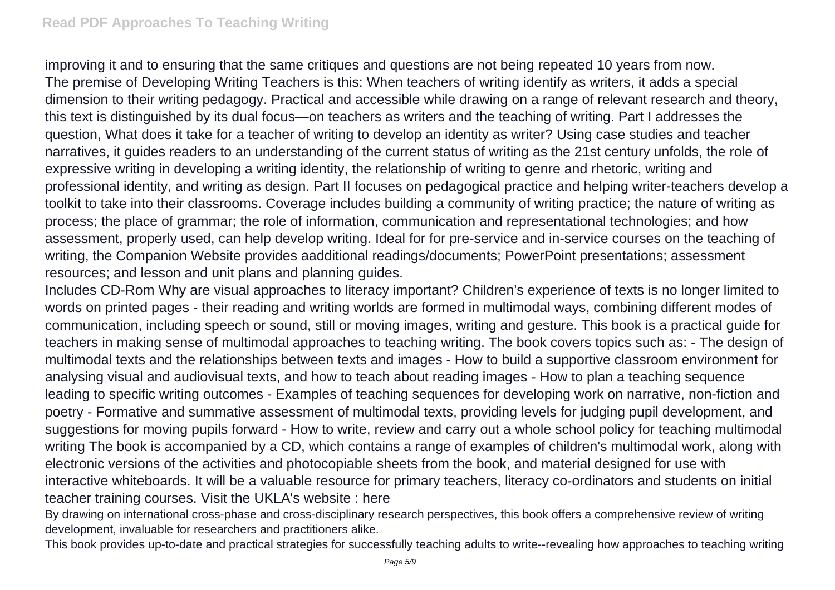improving it and to ensuring that the same critiques and questions are not being repeated 10 years from now. The premise of Developing Writing Teachers is this: When teachers of writing identify as writers, it adds a special dimension to their writing pedagogy. Practical and accessible while drawing on a range of relevant research and theory, this text is distinguished by its dual focus—on teachers as writers and the teaching of writing. Part I addresses the question, What does it take for a teacher of writing to develop an identity as writer? Using case studies and teacher narratives, it guides readers to an understanding of the current status of writing as the 21st century unfolds, the role of expressive writing in developing a writing identity, the relationship of writing to genre and rhetoric, writing and professional identity, and writing as design. Part II focuses on pedagogical practice and helping writer-teachers develop a toolkit to take into their classrooms. Coverage includes building a community of writing practice; the nature of writing as process; the place of grammar; the role of information, communication and representational technologies; and how assessment, properly used, can help develop writing. Ideal for for pre-service and in-service courses on the teaching of writing, the Companion Website provides aadditional readings/documents; PowerPoint presentations; assessment resources; and lesson and unit plans and planning guides.

Includes CD-Rom Why are visual approaches to literacy important? Children's experience of texts is no longer limited to words on printed pages - their reading and writing worlds are formed in multimodal ways, combining different modes of communication, including speech or sound, still or moving images, writing and gesture. This book is a practical guide for teachers in making sense of multimodal approaches to teaching writing. The book covers topics such as: - The design of multimodal texts and the relationships between texts and images - How to build a supportive classroom environment for analysing visual and audiovisual texts, and how to teach about reading images - How to plan a teaching sequence leading to specific writing outcomes - Examples of teaching sequences for developing work on narrative, non-fiction and poetry - Formative and summative assessment of multimodal texts, providing levels for judging pupil development, and suggestions for moving pupils forward - How to write, review and carry out a whole school policy for teaching multimodal writing The book is accompanied by a CD, which contains a range of examples of children's multimodal work, along with electronic versions of the activities and photocopiable sheets from the book, and material designed for use with interactive whiteboards. It will be a valuable resource for primary teachers, literacy co-ordinators and students on initial teacher training courses. Visit the UKLA's website : here

By drawing on international cross-phase and cross-disciplinary research perspectives, this book offers a comprehensive review of writing development, invaluable for researchers and practitioners alike.

This book provides up-to-date and practical strategies for successfully teaching adults to write--revealing how approaches to teaching writing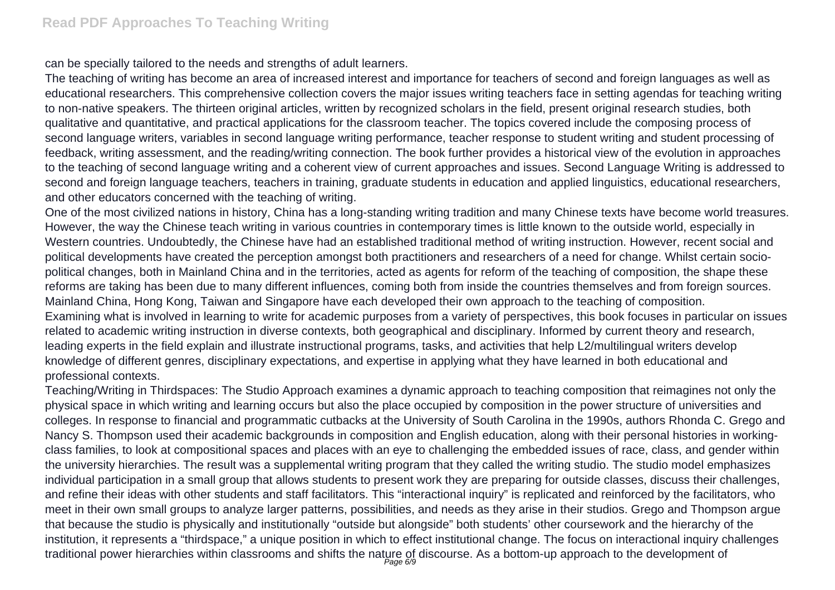can be specially tailored to the needs and strengths of adult learners.

The teaching of writing has become an area of increased interest and importance for teachers of second and foreign languages as well as educational researchers. This comprehensive collection covers the major issues writing teachers face in setting agendas for teaching writing to non-native speakers. The thirteen original articles, written by recognized scholars in the field, present original research studies, both qualitative and quantitative, and practical applications for the classroom teacher. The topics covered include the composing process of second language writers, variables in second language writing performance, teacher response to student writing and student processing of feedback, writing assessment, and the reading/writing connection. The book further provides a historical view of the evolution in approaches to the teaching of second language writing and a coherent view of current approaches and issues. Second Language Writing is addressed to second and foreign language teachers, teachers in training, graduate students in education and applied linguistics, educational researchers, and other educators concerned with the teaching of writing.

One of the most civilized nations in history, China has a long-standing writing tradition and many Chinese texts have become world treasures. However, the way the Chinese teach writing in various countries in contemporary times is little known to the outside world, especially in Western countries. Undoubtedly, the Chinese have had an established traditional method of writing instruction. However, recent social and political developments have created the perception amongst both practitioners and researchers of a need for change. Whilst certain sociopolitical changes, both in Mainland China and in the territories, acted as agents for reform of the teaching of composition, the shape these reforms are taking has been due to many different influences, coming both from inside the countries themselves and from foreign sources. Mainland China, Hong Kong, Taiwan and Singapore have each developed their own approach to the teaching of composition. Examining what is involved in learning to write for academic purposes from a variety of perspectives, this book focuses in particular on issues related to academic writing instruction in diverse contexts, both geographical and disciplinary. Informed by current theory and research, leading experts in the field explain and illustrate instructional programs, tasks, and activities that help L2/multilingual writers develop knowledge of different genres, disciplinary expectations, and expertise in applying what they have learned in both educational and professional contexts.

Teaching/Writing in Thirdspaces: The Studio Approach examines a dynamic approach to teaching composition that reimagines not only the physical space in which writing and learning occurs but also the place occupied by composition in the power structure of universities and colleges. In response to financial and programmatic cutbacks at the University of South Carolina in the 1990s, authors Rhonda C. Grego and Nancy S. Thompson used their academic backgrounds in composition and English education, along with their personal histories in workingclass families, to look at compositional spaces and places with an eye to challenging the embedded issues of race, class, and gender within the university hierarchies. The result was a supplemental writing program that they called the writing studio. The studio model emphasizes individual participation in a small group that allows students to present work they are preparing for outside classes, discuss their challenges, and refine their ideas with other students and staff facilitators. This "interactional inquiry" is replicated and reinforced by the facilitators, who meet in their own small groups to analyze larger patterns, possibilities, and needs as they arise in their studios. Grego and Thompson argue that because the studio is physically and institutionally "outside but alongside" both students' other coursework and the hierarchy of the institution, it represents a "thirdspace," a unique position in which to effect institutional change. The focus on interactional inquiry challenges traditional power hierarchies within classrooms and shifts the nature of discourse. As a bottom-up approach to the development of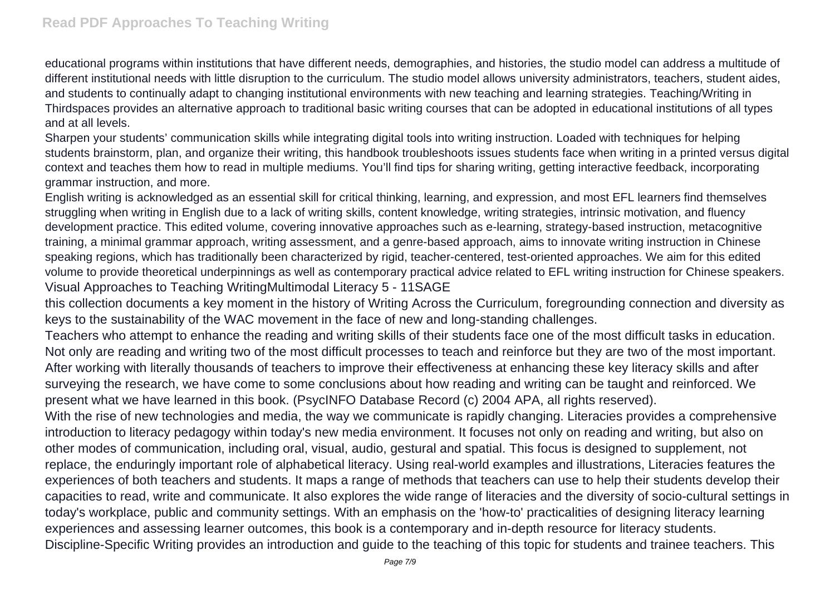educational programs within institutions that have different needs, demographies, and histories, the studio model can address a multitude of different institutional needs with little disruption to the curriculum. The studio model allows university administrators, teachers, student aides, and students to continually adapt to changing institutional environments with new teaching and learning strategies. Teaching/Writing in Thirdspaces provides an alternative approach to traditional basic writing courses that can be adopted in educational institutions of all types and at all levels.

Sharpen your students' communication skills while integrating digital tools into writing instruction. Loaded with techniques for helping students brainstorm, plan, and organize their writing, this handbook troubleshoots issues students face when writing in a printed versus digital context and teaches them how to read in multiple mediums. You'll find tips for sharing writing, getting interactive feedback, incorporating grammar instruction, and more.

English writing is acknowledged as an essential skill for critical thinking, learning, and expression, and most EFL learners find themselves struggling when writing in English due to a lack of writing skills, content knowledge, writing strategies, intrinsic motivation, and fluency development practice. This edited volume, covering innovative approaches such as e-learning, strategy-based instruction, metacognitive training, a minimal grammar approach, writing assessment, and a genre-based approach, aims to innovate writing instruction in Chinese speaking regions, which has traditionally been characterized by rigid, teacher-centered, test-oriented approaches. We aim for this edited volume to provide theoretical underpinnings as well as contemporary practical advice related to EFL writing instruction for Chinese speakers. Visual Approaches to Teaching WritingMultimodal Literacy 5 - 11SAGE

this collection documents a key moment in the history of Writing Across the Curriculum, foregrounding connection and diversity as keys to the sustainability of the WAC movement in the face of new and long-standing challenges.

Teachers who attempt to enhance the reading and writing skills of their students face one of the most difficult tasks in education. Not only are reading and writing two of the most difficult processes to teach and reinforce but they are two of the most important. After working with literally thousands of teachers to improve their effectiveness at enhancing these key literacy skills and after surveying the research, we have come to some conclusions about how reading and writing can be taught and reinforced. We present what we have learned in this book. (PsycINFO Database Record (c) 2004 APA, all rights reserved).

With the rise of new technologies and media, the way we communicate is rapidly changing. Literacies provides a comprehensive introduction to literacy pedagogy within today's new media environment. It focuses not only on reading and writing, but also on other modes of communication, including oral, visual, audio, gestural and spatial. This focus is designed to supplement, not replace, the enduringly important role of alphabetical literacy. Using real-world examples and illustrations, Literacies features the experiences of both teachers and students. It maps a range of methods that teachers can use to help their students develop their capacities to read, write and communicate. It also explores the wide range of literacies and the diversity of socio-cultural settings in today's workplace, public and community settings. With an emphasis on the 'how-to' practicalities of designing literacy learning experiences and assessing learner outcomes, this book is a contemporary and in-depth resource for literacy students. Discipline-Specific Writing provides an introduction and guide to the teaching of this topic for students and trainee teachers. This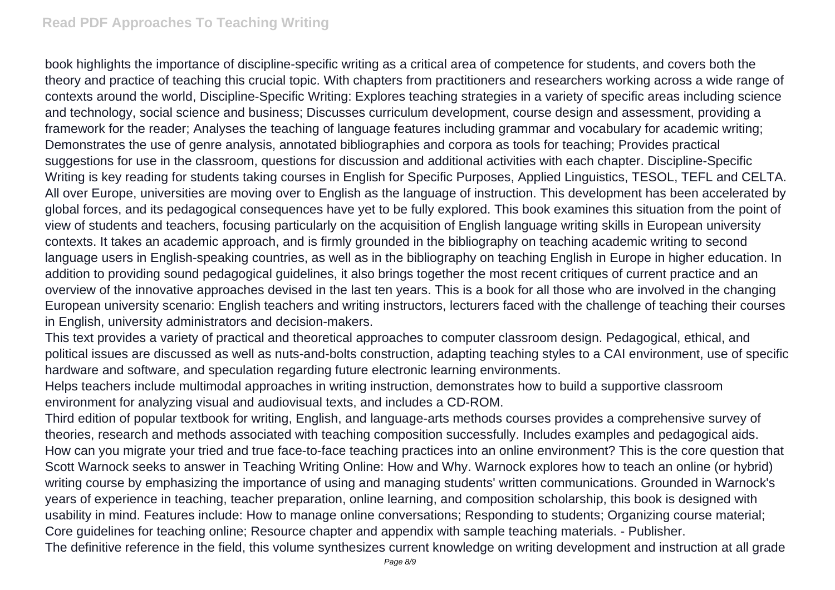book highlights the importance of discipline-specific writing as a critical area of competence for students, and covers both the theory and practice of teaching this crucial topic. With chapters from practitioners and researchers working across a wide range of contexts around the world, Discipline-Specific Writing: Explores teaching strategies in a variety of specific areas including science and technology, social science and business; Discusses curriculum development, course design and assessment, providing a framework for the reader; Analyses the teaching of language features including grammar and vocabulary for academic writing; Demonstrates the use of genre analysis, annotated bibliographies and corpora as tools for teaching; Provides practical suggestions for use in the classroom, questions for discussion and additional activities with each chapter. Discipline-Specific Writing is key reading for students taking courses in English for Specific Purposes, Applied Linguistics, TESOL, TEFL and CELTA. All over Europe, universities are moving over to English as the language of instruction. This development has been accelerated by global forces, and its pedagogical consequences have yet to be fully explored. This book examines this situation from the point of view of students and teachers, focusing particularly on the acquisition of English language writing skills in European university contexts. It takes an academic approach, and is firmly grounded in the bibliography on teaching academic writing to second language users in English-speaking countries, as well as in the bibliography on teaching English in Europe in higher education. In addition to providing sound pedagogical guidelines, it also brings together the most recent critiques of current practice and an overview of the innovative approaches devised in the last ten years. This is a book for all those who are involved in the changing European university scenario: English teachers and writing instructors, lecturers faced with the challenge of teaching their courses in English, university administrators and decision-makers.

This text provides a variety of practical and theoretical approaches to computer classroom design. Pedagogical, ethical, and political issues are discussed as well as nuts-and-bolts construction, adapting teaching styles to a CAI environment, use of specific hardware and software, and speculation regarding future electronic learning environments.

Helps teachers include multimodal approaches in writing instruction, demonstrates how to build a supportive classroom environment for analyzing visual and audiovisual texts, and includes a CD-ROM.

Third edition of popular textbook for writing, English, and language-arts methods courses provides a comprehensive survey of theories, research and methods associated with teaching composition successfully. Includes examples and pedagogical aids. How can you migrate your tried and true face-to-face teaching practices into an online environment? This is the core question that Scott Warnock seeks to answer in Teaching Writing Online: How and Why. Warnock explores how to teach an online (or hybrid) writing course by emphasizing the importance of using and managing students' written communications. Grounded in Warnock's years of experience in teaching, teacher preparation, online learning, and composition scholarship, this book is designed with usability in mind. Features include: How to manage online conversations; Responding to students; Organizing course material; Core guidelines for teaching online; Resource chapter and appendix with sample teaching materials. - Publisher.

The definitive reference in the field, this volume synthesizes current knowledge on writing development and instruction at all grade